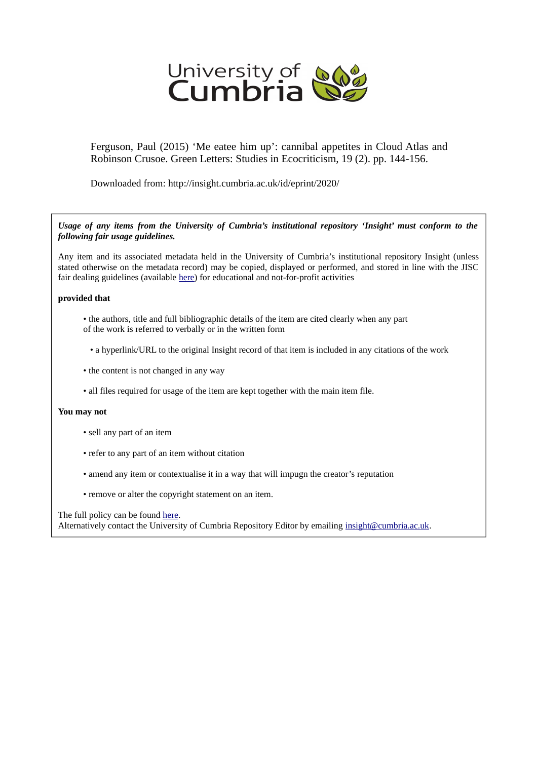

Ferguson, Paul (2015) 'Me eatee him up': cannibal appetites in Cloud Atlas and Robinson Crusoe. Green Letters: Studies in Ecocriticism, 19 (2). pp. 144-156.

Downloaded from: http://insight.cumbria.ac.uk/id/eprint/2020/

*Usage of any items from the University of Cumbria's institutional repository 'Insight' must conform to the following fair usage guidelines.*

Any item and its associated metadata held in the University of Cumbria's institutional repository Insight (unless stated otherwise on the metadata record) may be copied, displayed or performed, and stored in line with the JISC fair dealing guidelines (available [here\)](http://www.ukoln.ac.uk/services/elib/papers/pa/fair/) for educational and not-for-profit activities

# **provided that**

- the authors, title and full bibliographic details of the item are cited clearly when any part of the work is referred to verbally or in the written form
	- a hyperlink/URL to the original Insight record of that item is included in any citations of the work
- the content is not changed in any way
- all files required for usage of the item are kept together with the main item file.

# **You may not**

- sell any part of an item
- refer to any part of an item without citation
- amend any item or contextualise it in a way that will impugn the creator's reputation
- remove or alter the copyright statement on an item.

The full policy can be found [here.](http://insight.cumbria.ac.uk/legal.html#section5)

Alternatively contact the University of Cumbria Repository Editor by emailing [insight@cumbria.ac.uk.](mailto:insight@cumbria.ac.uk)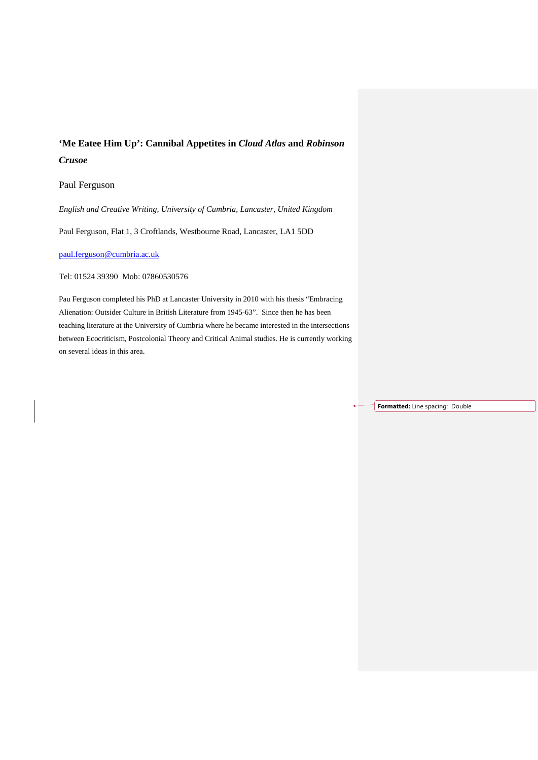# **'Me Eatee Him Up': Cannibal Appetites in** *Cloud Atlas* **and** *Robinson Crusoe*

# Paul Ferguson

*English and Creative Writing, University of Cumbria, Lancaster, United Kingdom*

Paul Ferguson, Flat 1, 3 Croftlands, Westbourne Road, Lancaster, LA1 5DD

[paul.ferguson@cumbria.ac.uk](mailto:paul.ferguson@cumbria.ac.uk)

Tel: 01524 39390 Mob: 07860530576

Pau Ferguson completed his PhD at Lancaster University in 2010 with his thesis "Embracing Alienation: Outsider Culture in British Literature from 1945-63". Since then he has been teaching literature at the University of Cumbria where he became interested in the intersections between Ecocriticism, Postcolonial Theory and Critical Animal studies. He is currently working on several ideas in this area.

**Formatted:** Line spacing: Double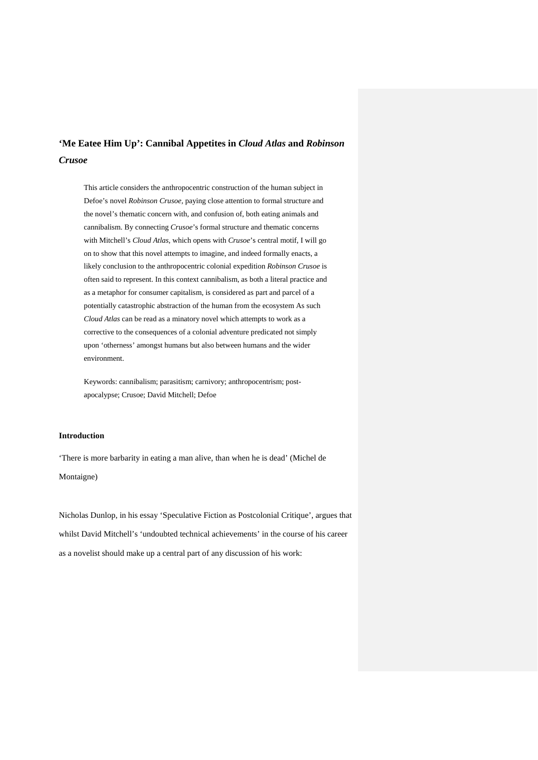# **'Me Eatee Him Up': Cannibal Appetites in** *Cloud Atlas* **and** *Robinson Crusoe*

This article considers the anthropocentric construction of the human subject in Defoe's novel *Robinson Crusoe,* paying close attention to formal structure and the novel's thematic concern with, and confusion of, both eating animals and cannibalism. By connecting *Crusoe*'s formal structure and thematic concerns with Mitchell's *Cloud Atlas*, which opens with *Crusoe*'s central motif, I will go on to show that this novel attempts to imagine, and indeed formally enacts, a likely conclusion to the anthropocentric colonial expedition *Robinson Crusoe* is often said to represent. In this context cannibalism, as both a literal practice and as a metaphor for consumer capitalism, is considered as part and parcel of a potentially catastrophic abstraction of the human from the ecosystem As such *Cloud Atlas* can be read as a minatory novel which attempts to work as a corrective to the consequences of a colonial adventure predicated not simply upon 'otherness' amongst humans but also between humans and the wider environment.

Keywords: cannibalism; parasitism; carnivory; anthropocentrism; postapocalypse; Crusoe; David Mitchell; Defoe

#### **Introduction**

'There is more barbarity in eating a man alive, than when he is dead' (Michel de Montaigne)

Nicholas Dunlop, in his essay 'Speculative Fiction as Postcolonial Critique', argues that whilst David Mitchell's 'undoubted technical achievements' in the course of his career as a novelist should make up a central part of any discussion of his work: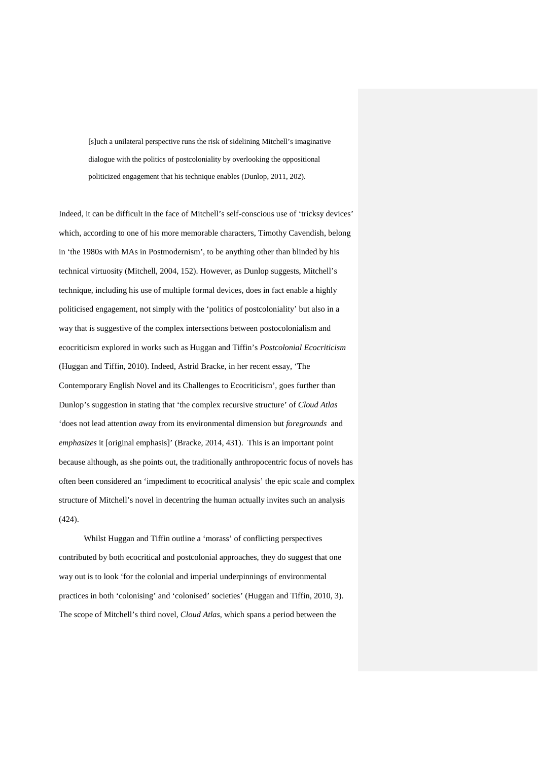[s]uch a unilateral perspective runs the risk of sidelining Mitchell's imaginative dialogue with the politics of postcoloniality by overlooking the oppositional politicized engagement that his technique enables (Dunlop, 2011, 202).

Indeed, it can be difficult in the face of Mitchell's self-conscious use of 'tricksy devices' which, according to one of his more memorable characters, Timothy Cavendish, belong in 'the 1980s with MAs in Postmodernism', to be anything other than blinded by his technical virtuosity (Mitchell, 2004, 152). However, as Dunlop suggests, Mitchell's technique, including his use of multiple formal devices, does in fact enable a highly politicised engagement, not simply with the 'politics of postcoloniality' but also in a way that is suggestive of the complex intersections between postocolonialism and ecocriticism explored in works such as Huggan and Tiffin's *Postcolonial Ecocriticism*  (Huggan and Tiffin, 2010). Indeed, Astrid Bracke, in her recent essay, 'The Contemporary English Novel and its Challenges to Ecocriticism', goes further than Dunlop's suggestion in stating that 'the complex recursive structure' of *Cloud Atlas*  'does not lead attention *away* from its environmental dimension but *foregrounds* and *emphasizes* it [original emphasis]' (Bracke, 2014, 431). This is an important point because although, as she points out, the traditionally anthropocentric focus of novels has often been considered an 'impediment to ecocritical analysis' the epic scale and complex structure of Mitchell's novel in decentring the human actually invites such an analysis (424).

Whilst Huggan and Tiffin outline a 'morass' of conflicting perspectives contributed by both ecocritical and postcolonial approaches, they do suggest that one way out is to look 'for the colonial and imperial underpinnings of environmental practices in both 'colonising' and 'colonised' societies' (Huggan and Tiffin, 2010, 3). The scope of Mitchell's third novel, *Cloud Atlas*, which spans a period between the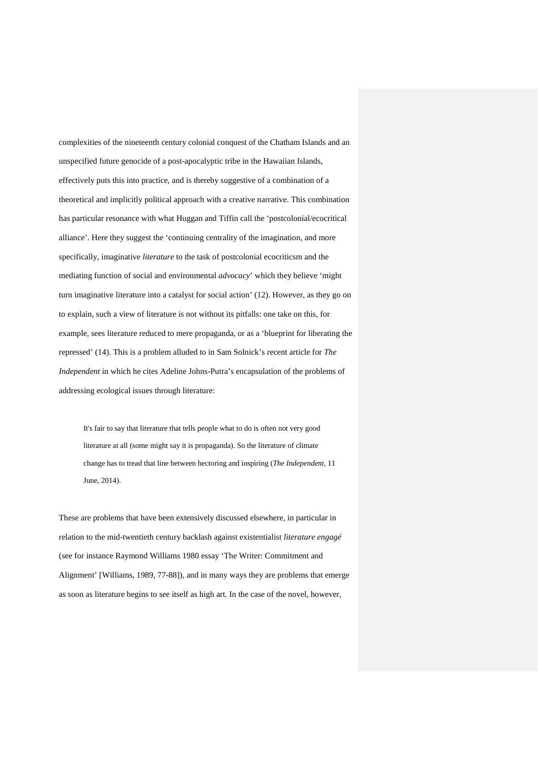complexities of the nineteenth century colonial conquest of the Chatham Islands and an unspecified future genocide of a post-apocalyptic tribe in the Hawaiian Islands, effectively puts this into practice, and is thereby suggestive of a combination of a theoretical and implicitly political approach with a creative narrative. This combination has particular resonance with what Huggan and Tiffin call the 'postcolonial/ecocritical alliance'. Here they suggest the 'continuing centrality of the imagination, and more specifically, imaginative *literature* to the task of postcolonial ecocriticsm and the mediating function of social and environmental *advocacy*' which they believe 'might turn imaginative literature into a catalyst for social action' (12). However, as they go on to explain, such a view of literature is not without its pitfalls: one take on this, for example, sees literature reduced to mere propaganda, or as a 'blueprint for liberating the repressed' (14). This is a problem alluded to in Sam Solnick's recent article for *The Independent* in which he cites Adeline Johns-Putra's encapsulation of the problems of addressing ecological issues through literature:

It's fair to say that literature that tells people what to do is often not very good literature at all (some might say it is propaganda). So the literature of climate change has to tread that line between hectoring and inspiring (*The Independent,* 11 June, 2014).

These are problems that have been extensively discussed elsewhere, in particular in relation to the mid-twentieth century backlash against existentialist *literature engagé*  (see for instance Raymond Williams 1980 essay 'The Writer: Commitment and Alignment' [Williams, 1989, 77-88]), and in many ways they are problems that emerge as soon as literature begins to see itself as high art. In the case of the novel, however,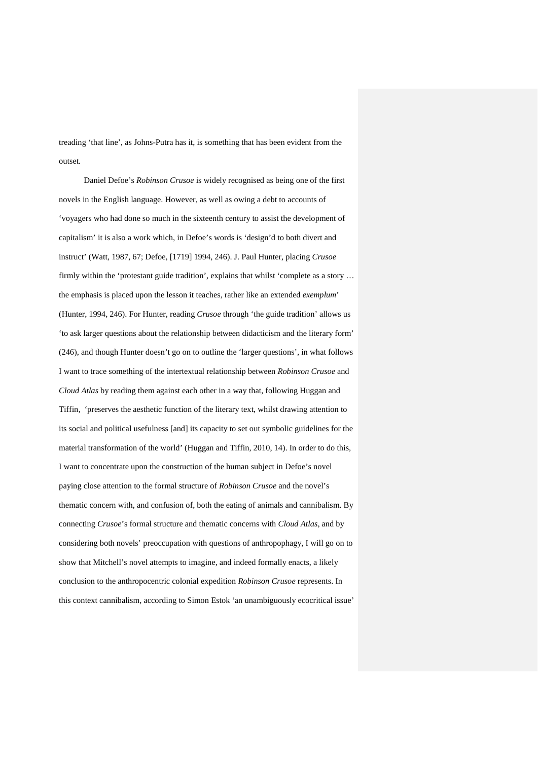treading 'that line', as Johns-Putra has it, is something that has been evident from the outset.

Daniel Defoe's *Robinson Crusoe* is widely recognised as being one of the first novels in the English language. However, as well as owing a debt to accounts of 'voyagers who had done so much in the sixteenth century to assist the development of capitalism' it is also a work which, in Defoe's words is 'design'd to both divert and instruct' (Watt, 1987, 67; Defoe, [1719] 1994, 246). J. Paul Hunter, placing *Crusoe*  firmly within the 'protestant guide tradition', explains that whilst 'complete as a story … the emphasis is placed upon the lesson it teaches, rather like an extended *exemplum*' (Hunter, 1994, 246). For Hunter, reading *Crusoe* through 'the guide tradition' allows us 'to ask larger questions about the relationship between didacticism and the literary form' (246), and though Hunter doesn't go on to outline the 'larger questions', in what follows I want to trace something of the intertextual relationship between *Robinson Crusoe* and *Cloud Atlas* by reading them against each other in a way that, following Huggan and Tiffin, 'preserves the aesthetic function of the literary text, whilst drawing attention to its social and political usefulness [and] its capacity to set out symbolic guidelines for the material transformation of the world' (Huggan and Tiffin, 2010, 14). In order to do this, I want to concentrate upon the construction of the human subject in Defoe's novel paying close attention to the formal structure of *Robinson Crusoe* and the novel's thematic concern with, and confusion of, both the eating of animals and cannibalism. By connecting *Crusoe*'s formal structure and thematic concerns with *Cloud Atlas*, and by considering both novels' preoccupation with questions of anthropophagy, I will go on to show that Mitchell's novel attempts to imagine, and indeed formally enacts, a likely conclusion to the anthropocentric colonial expedition *Robinson Crusoe* represents. In this context cannibalism, according to Simon Estok 'an unambiguously ecocritical issue'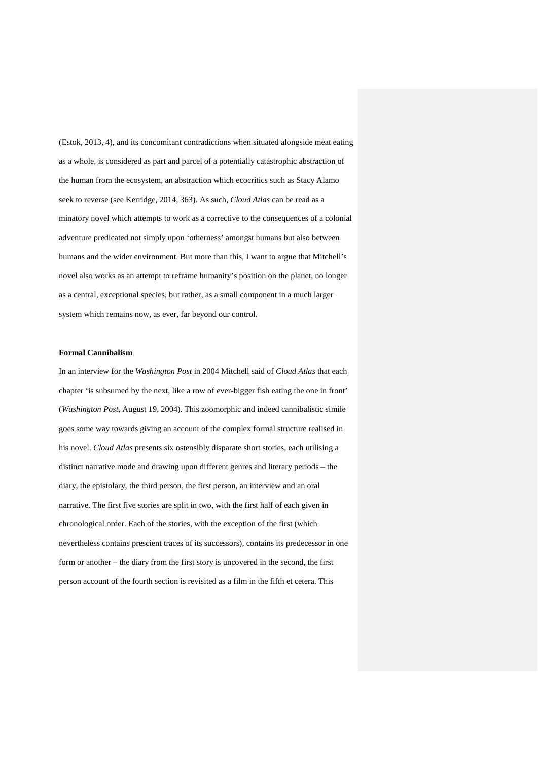(Estok, 2013, 4), and its concomitant contradictions when situated alongside meat eating as a whole, is considered as part and parcel of a potentially catastrophic abstraction of the human from the ecosystem, an abstraction which ecocritics such as Stacy Alamo seek to reverse (see Kerridge, 2014, 363). As such, *Cloud Atlas* can be read as a minatory novel which attempts to work as a corrective to the consequences of a colonial adventure predicated not simply upon 'otherness' amongst humans but also between humans and the wider environment. But more than this, I want to argue that Mitchell's novel also works as an attempt to reframe humanity's position on the planet, no longer as a central, exceptional species, but rather, as a small component in a much larger system which remains now, as ever, far beyond our control.

#### **Formal Cannibalism**

In an interview for the *Washington Post* in 2004 Mitchell said of *Cloud Atlas* that each chapter 'is subsumed by the next, like a row of ever-bigger fish eating the one in front' (*Washington Post*, August 19, 2004). This zoomorphic and indeed cannibalistic simile goes some way towards giving an account of the complex formal structure realised in his novel. *Cloud Atlas* presents six ostensibly disparate short stories, each utilising a distinct narrative mode and drawing upon different genres and literary periods – the diary, the epistolary, the third person, the first person, an interview and an oral narrative. The first five stories are split in two, with the first half of each given in chronological order. Each of the stories, with the exception of the first (which nevertheless contains prescient traces of its successors), contains its predecessor in one form or another – the diary from the first story is uncovered in the second, the first person account of the fourth section is revisited as a film in the fifth et cetera. This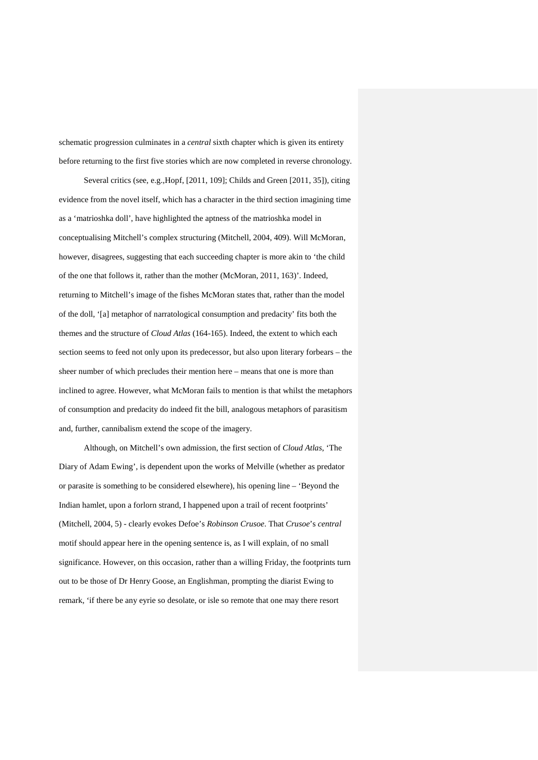schematic progression culminates in a *central* sixth chapter which is given its entirety before returning to the first five stories which are now completed in reverse chronology.

Several critics (see, e.g.,Hopf, [2011, 109]; Childs and Green [2011, 35]), citing evidence from the novel itself, which has a character in the third section imagining time as a 'matrioshka doll', have highlighted the aptness of the matrioshka model in conceptualising Mitchell's complex structuring (Mitchell, 2004, 409). Will McMoran, however, disagrees, suggesting that each succeeding chapter is more akin to 'the child of the one that follows it, rather than the mother (McMoran, 2011, 163)'. Indeed, returning to Mitchell's image of the fishes McMoran states that, rather than the model of the doll, '[a] metaphor of narratological consumption and predacity' fits both the themes and the structure of *Cloud Atlas* (164-165). Indeed, the extent to which each section seems to feed not only upon its predecessor, but also upon literary forbears – the sheer number of which precludes their mention here – means that one is more than inclined to agree. However, what McMoran fails to mention is that whilst the metaphors of consumption and predacity do indeed fit the bill, analogous metaphors of parasitism and, further, cannibalism extend the scope of the imagery.

Although, on Mitchell's own admission, the first section of *Cloud Atlas,* 'The Diary of Adam Ewing', is dependent upon the works of Melville (whether as predator or parasite is something to be considered elsewhere), his opening line – 'Beyond the Indian hamlet, upon a forlorn strand, I happened upon a trail of recent footprints' (Mitchell, 2004, 5) - clearly evokes Defoe's *Robinson Crusoe*. That *Crusoe*'s *central* motif should appear here in the opening sentence is, as I will explain, of no small significance. However, on this occasion, rather than a willing Friday, the footprints turn out to be those of Dr Henry Goose, an Englishman, prompting the diarist Ewing to remark, 'if there be any eyrie so desolate, or isle so remote that one may there resort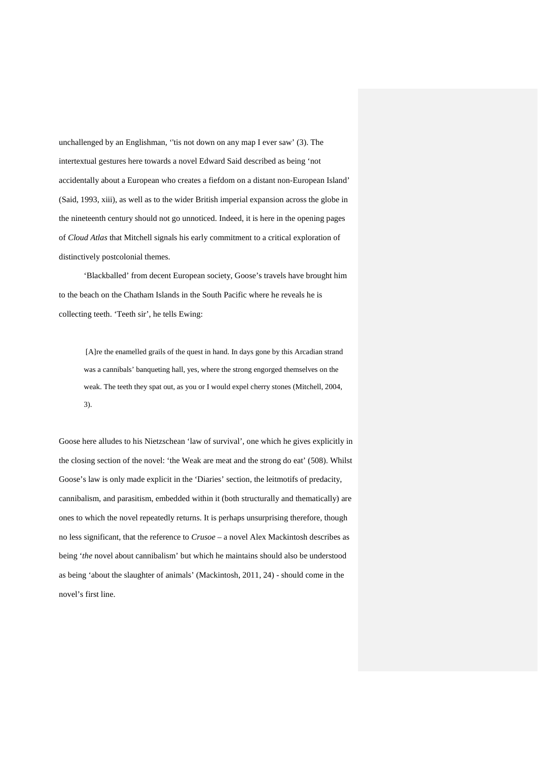unchallenged by an Englishman, ''tis not down on any map I ever saw' (3). The intertextual gestures here towards a novel Edward Said described as being 'not accidentally about a European who creates a fiefdom on a distant non-European Island' (Said, 1993, xiii), as well as to the wider British imperial expansion across the globe in the nineteenth century should not go unnoticed. Indeed, it is here in the opening pages of *Cloud Atlas* that Mitchell signals his early commitment to a critical exploration of distinctively postcolonial themes.

'Blackballed' from decent European society, Goose's travels have brought him to the beach on the Chatham Islands in the South Pacific where he reveals he is collecting teeth. 'Teeth sir', he tells Ewing:

[A]re the enamelled grails of the quest in hand. In days gone by this Arcadian strand was a cannibals' banqueting hall, yes, where the strong engorged themselves on the weak. The teeth they spat out, as you or I would expel cherry stones (Mitchell, 2004, 3).

Goose here alludes to his Nietzschean 'law of survival', one which he gives explicitly in the closing section of the novel: 'the Weak are meat and the strong do eat' (508). Whilst Goose's law is only made explicit in the 'Diaries' section, the leitmotifs of predacity, cannibalism, and parasitism, embedded within it (both structurally and thematically) are ones to which the novel repeatedly returns. It is perhaps unsurprising therefore, though no less significant, that the reference to *Crusoe* – a novel Alex Mackintosh describes as being '*the* novel about cannibalism' but which he maintains should also be understood as being 'about the slaughter of animals' (Mackintosh, 2011, 24) - should come in the novel's first line.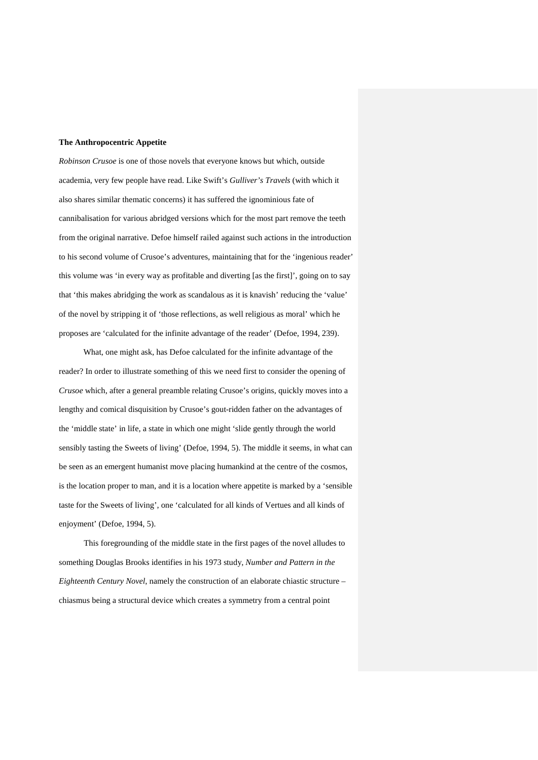### **The Anthropocentric Appetite**

*Robinson Crusoe* is one of those novels that everyone knows but which, outside academia, very few people have read. Like Swift's *Gulliver's Travels* (with which it also shares similar thematic concerns) it has suffered the ignominious fate of cannibalisation for various abridged versions which for the most part remove the teeth from the original narrative. Defoe himself railed against such actions in the introduction to his second volume of Crusoe's adventures, maintaining that for the 'ingenious reader' this volume was 'in every way as profitable and diverting [as the first]', going on to say that 'this makes abridging the work as scandalous as it is knavish' reducing the 'value' of the novel by stripping it of 'those reflections, as well religious as moral' which he proposes are 'calculated for the infinite advantage of the reader' (Defoe, 1994, 239).

What, one might ask, has Defoe calculated for the infinite advantage of the reader? In order to illustrate something of this we need first to consider the opening of *Crusoe* which, after a general preamble relating Crusoe's origins, quickly moves into a lengthy and comical disquisition by Crusoe's gout-ridden father on the advantages of the 'middle state' in life, a state in which one might 'slide gently through the world sensibly tasting the Sweets of living' (Defoe, 1994, 5). The middle it seems, in what can be seen as an emergent humanist move placing humankind at the centre of the cosmos, is the location proper to man, and it is a location where appetite is marked by a 'sensible taste for the Sweets of living', one 'calculated for all kinds of Vertues and all kinds of enjoyment' (Defoe, 1994, 5).

This foregrounding of the middle state in the first pages of the novel alludes to something Douglas Brooks identifies in his 1973 study, *Number and Pattern in the Eighteenth Century Novel*, namely the construction of an elaborate chiastic structure – chiasmus being a structural device which creates a symmetry from a central point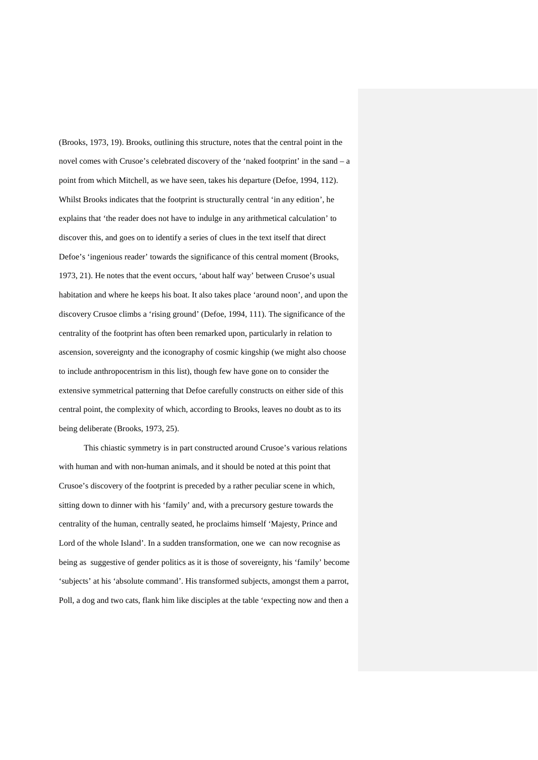(Brooks, 1973, 19). Brooks, outlining this structure, notes that the central point in the novel comes with Crusoe's celebrated discovery of the 'naked footprint' in the sand – a point from which Mitchell, as we have seen, takes his departure (Defoe, 1994, 112). Whilst Brooks indicates that the footprint is structurally central 'in any edition', he explains that 'the reader does not have to indulge in any arithmetical calculation' to discover this, and goes on to identify a series of clues in the text itself that direct Defoe's 'ingenious reader' towards the significance of this central moment (Brooks, 1973, 21). He notes that the event occurs, 'about half way' between Crusoe's usual habitation and where he keeps his boat. It also takes place 'around noon', and upon the discovery Crusoe climbs a 'rising ground' (Defoe, 1994, 111). The significance of the centrality of the footprint has often been remarked upon, particularly in relation to ascension, sovereignty and the iconography of cosmic kingship (we might also choose to include anthropocentrism in this list), though few have gone on to consider the extensive symmetrical patterning that Defoe carefully constructs on either side of this central point, the complexity of which, according to Brooks, leaves no doubt as to its being deliberate (Brooks, 1973, 25).

This chiastic symmetry is in part constructed around Crusoe's various relations with human and with non-human animals, and it should be noted at this point that Crusoe's discovery of the footprint is preceded by a rather peculiar scene in which, sitting down to dinner with his 'family' and, with a precursory gesture towards the centrality of the human, centrally seated, he proclaims himself 'Majesty, Prince and Lord of the whole Island'. In a sudden transformation, one we can now recognise as being as suggestive of gender politics as it is those of sovereignty, his 'family' become 'subjects' at his 'absolute command'. His transformed subjects, amongst them a parrot, Poll, a dog and two cats, flank him like disciples at the table 'expecting now and then a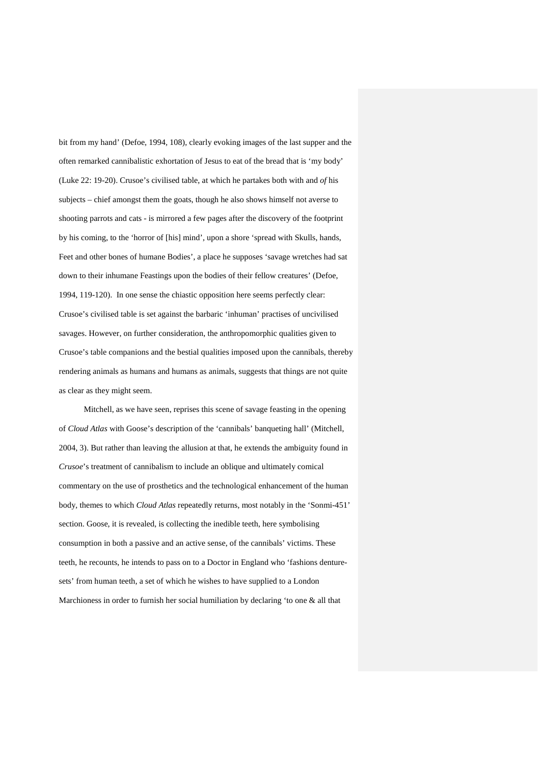bit from my hand' (Defoe, 1994, 108), clearly evoking images of the last supper and the often remarked cannibalistic exhortation of Jesus to eat of the bread that is 'my body' (Luke 22: 19-20). Crusoe's civilised table, at which he partakes both with and *of* his subjects – chief amongst them the goats, though he also shows himself not averse to shooting parrots and cats - is mirrored a few pages after the discovery of the footprint by his coming, to the 'horror of [his] mind', upon a shore 'spread with Skulls, hands, Feet and other bones of humane Bodies', a place he supposes 'savage wretches had sat down to their inhumane Feastings upon the bodies of their fellow creatures' (Defoe, 1994, 119-120). In one sense the chiastic opposition here seems perfectly clear: Crusoe's civilised table is set against the barbaric 'inhuman' practises of uncivilised savages. However, on further consideration, the anthropomorphic qualities given to Crusoe's table companions and the bestial qualities imposed upon the cannibals, thereby rendering animals as humans and humans as animals, suggests that things are not quite as clear as they might seem.

Mitchell, as we have seen, reprises this scene of savage feasting in the opening of *Cloud Atlas* with Goose's description of the 'cannibals' banqueting hall' (Mitchell, 2004, 3). But rather than leaving the allusion at that, he extends the ambiguity found in *Crusoe*'s treatment of cannibalism to include an oblique and ultimately comical commentary on the use of prosthetics and the technological enhancement of the human body, themes to which *Cloud Atlas* repeatedly returns, most notably in the 'Sonmi-451' section. Goose, it is revealed, is collecting the inedible teeth, here symbolising consumption in both a passive and an active sense, of the cannibals' victims. These teeth, he recounts, he intends to pass on to a Doctor in England who 'fashions denturesets' from human teeth, a set of which he wishes to have supplied to a London Marchioness in order to furnish her social humiliation by declaring 'to one & all that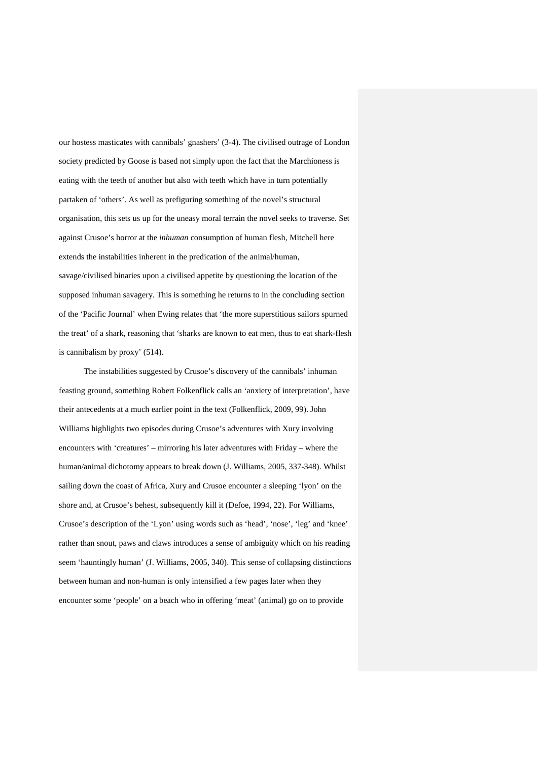our hostess masticates with cannibals' gnashers' (3-4). The civilised outrage of London society predicted by Goose is based not simply upon the fact that the Marchioness is eating with the teeth of another but also with teeth which have in turn potentially partaken of 'others'. As well as prefiguring something of the novel's structural organisation, this sets us up for the uneasy moral terrain the novel seeks to traverse. Set against Crusoe's horror at the *inhuman* consumption of human flesh, Mitchell here extends the instabilities inherent in the predication of the animal/human, savage/civilised binaries upon a civilised appetite by questioning the location of the supposed inhuman savagery. This is something he returns to in the concluding section of the 'Pacific Journal' when Ewing relates that 'the more superstitious sailors spurned the treat' of a shark, reasoning that 'sharks are known to eat men, thus to eat shark-flesh is cannibalism by proxy' (514).

The instabilities suggested by Crusoe's discovery of the cannibals' inhuman feasting ground, something Robert Folkenflick calls an 'anxiety of interpretation', have their antecedents at a much earlier point in the text (Folkenflick, 2009, 99). John Williams highlights two episodes during Crusoe's adventures with Xury involving encounters with 'creatures' – mirroring his later adventures with Friday – where the human/animal dichotomy appears to break down (J. Williams, 2005, 337-348). Whilst sailing down the coast of Africa, Xury and Crusoe encounter a sleeping 'lyon' on the shore and, at Crusoe's behest, subsequently kill it (Defoe, 1994, 22). For Williams, Crusoe's description of the 'Lyon' using words such as 'head', 'nose', 'leg' and 'knee' rather than snout, paws and claws introduces a sense of ambiguity which on his reading seem 'hauntingly human' (J. Williams, 2005, 340). This sense of collapsing distinctions between human and non-human is only intensified a few pages later when they encounter some 'people' on a beach who in offering 'meat' (animal) go on to provide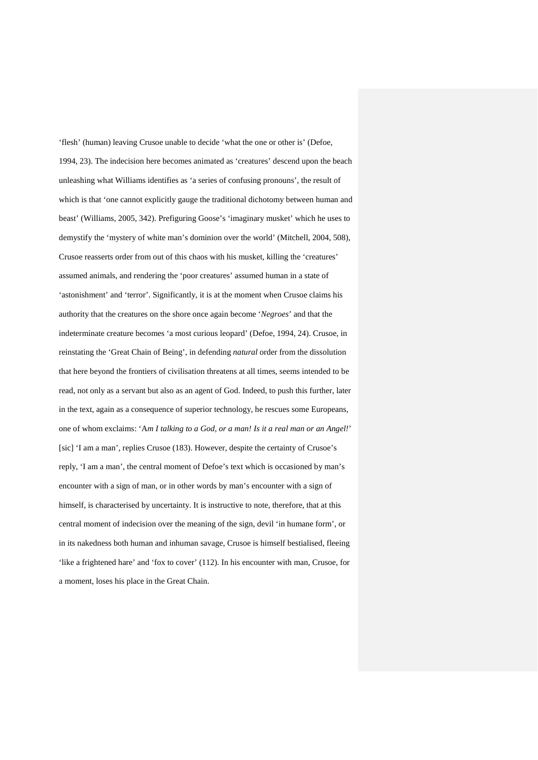'flesh' (human) leaving Crusoe unable to decide 'what the one or other is' (Defoe, 1994, 23). The indecision here becomes animated as 'creatures' descend upon the beach unleashing what Williams identifies as 'a series of confusing pronouns', the result of which is that 'one cannot explicitly gauge the traditional dichotomy between human and beast' (Williams, 2005, 342). Prefiguring Goose's 'imaginary musket' which he uses to demystify the 'mystery of white man's dominion over the world' (Mitchell, 2004, 508), Crusoe reasserts order from out of this chaos with his musket, killing the 'creatures' assumed animals, and rendering the 'poor creatures' assumed human in a state of 'astonishment' and 'terror'. Significantly, it is at the moment when Crusoe claims his authority that the creatures on the shore once again become '*Negroes*' and that the indeterminate creature becomes 'a most curious leopard' (Defoe, 1994, 24). Crusoe, in reinstating the 'Great Chain of Being', in defending *natural* order from the dissolution that here beyond the frontiers of civilisation threatens at all times, seems intended to be read, not only as a servant but also as an agent of God. Indeed, to push this further, later in the text, again as a consequence of superior technology, he rescues some Europeans, one of whom exclaims: 'A*m I talking to a God, or a man! Is it a real man or an Angel!*' [sic] 'I am a man', replies Crusoe (183). However, despite the certainty of Crusoe's reply, 'I am a man', the central moment of Defoe's text which is occasioned by man's encounter with a sign of man, or in other words by man's encounter with a sign of himself, is characterised by uncertainty. It is instructive to note, therefore, that at this central moment of indecision over the meaning of the sign, devil 'in humane form', or in its nakedness both human and inhuman savage, Crusoe is himself bestialised, fleeing 'like a frightened hare' and 'fox to cover' (112). In his encounter with man, Crusoe, for a moment, loses his place in the Great Chain.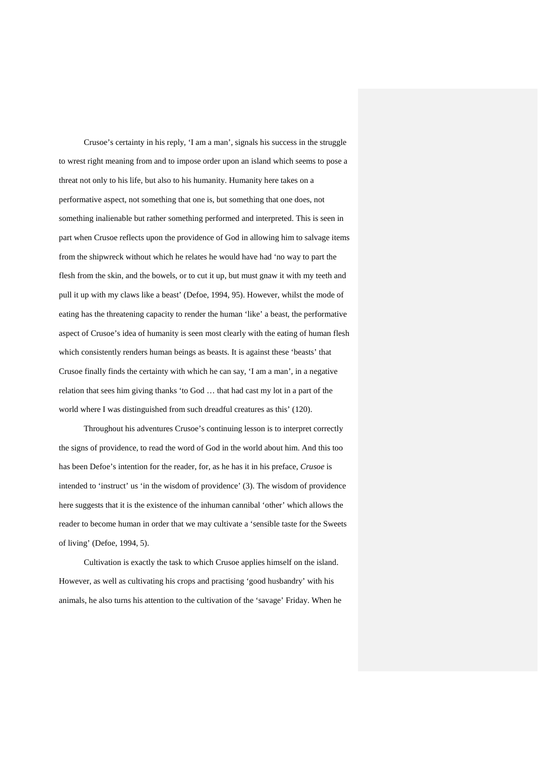Crusoe's certainty in his reply, 'I am a man', signals his success in the struggle to wrest right meaning from and to impose order upon an island which seems to pose a threat not only to his life, but also to his humanity. Humanity here takes on a performative aspect, not something that one is, but something that one does, not something inalienable but rather something performed and interpreted. This is seen in part when Crusoe reflects upon the providence of God in allowing him to salvage items from the shipwreck without which he relates he would have had 'no way to part the flesh from the skin, and the bowels, or to cut it up, but must gnaw it with my teeth and pull it up with my claws like a beast' (Defoe, 1994, 95). However, whilst the mode of eating has the threatening capacity to render the human 'like' a beast, the performative aspect of Crusoe's idea of humanity is seen most clearly with the eating of human flesh which consistently renders human beings as beasts. It is against these 'beasts' that Crusoe finally finds the certainty with which he can say, 'I am a man', in a negative relation that sees him giving thanks 'to God … that had cast my lot in a part of the world where I was distinguished from such dreadful creatures as this' (120).

Throughout his adventures Crusoe's continuing lesson is to interpret correctly the signs of providence, to read the word of God in the world about him. And this too has been Defoe's intention for the reader, for, as he has it in his preface, *Crusoe* is intended to 'instruct' us 'in the wisdom of providence' (3). The wisdom of providence here suggests that it is the existence of the inhuman cannibal 'other' which allows the reader to become human in order that we may cultivate a 'sensible taste for the Sweets of living' (Defoe, 1994, 5).

Cultivation is exactly the task to which Crusoe applies himself on the island. However, as well as cultivating his crops and practising 'good husbandry' with his animals, he also turns his attention to the cultivation of the 'savage' Friday. When he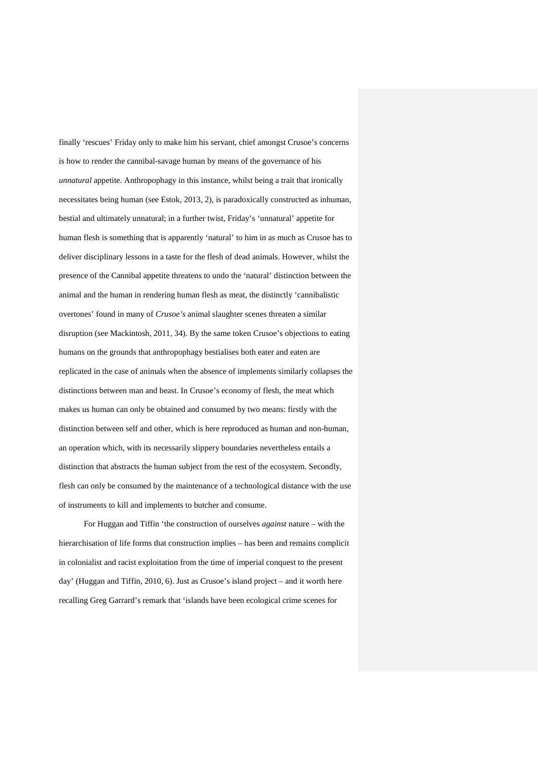finally 'rescues' Friday only to make him his servant, chief amongst Crusoe's concerns is how to render the cannibal-savage human by means of the governance of his *unnatural* appetite. Anthropophagy in this instance, whilst being a trait that ironically necessitates being human (see Estok, 2013, 2), is paradoxically constructed as inhuman, bestial and ultimately unnatural; in a further twist, Friday's 'unnatural' appetite for human flesh is something that is apparently 'natural' to him in as much as Crusoe has to deliver disciplinary lessons in a taste for the flesh of dead animals. However, whilst the presence of the Cannibal appetite threatens to undo the 'natural' distinction between the animal and the human in rendering human flesh as meat, the distinctly 'cannibalistic overtones' found in many of *Crusoe's* animal slaughter scenes threaten a similar disruption (see Mackintosh, 2011, 34). By the same token Crusoe's objections to eating humans on the grounds that anthropophagy bestialises both eater and eaten are replicated in the case of animals when the absence of implements similarly collapses the distinctions between man and beast. In Crusoe's economy of flesh, the meat which makes us human can only be obtained and consumed by two means: firstly with the distinction between self and other, which is here reproduced as human and non-human, an operation which, with its necessarily slippery boundaries nevertheless entails a distinction that abstracts the human subject from the rest of the ecosystem. Secondly, flesh can only be consumed by the maintenance of a technological distance with the use of instruments to kill and implements to butcher and consume.

For Huggan and Tiffin 'the construction of ourselves *against* nature – with the hierarchisation of life forms that construction implies – has been and remains complicit in colonialist and racist exploitation from the time of imperial conquest to the present day' (Huggan and Tiffin, 2010, 6). Just as Crusoe's island project – and it worth here recalling Greg Garrard's remark that 'islands have been ecological crime scenes for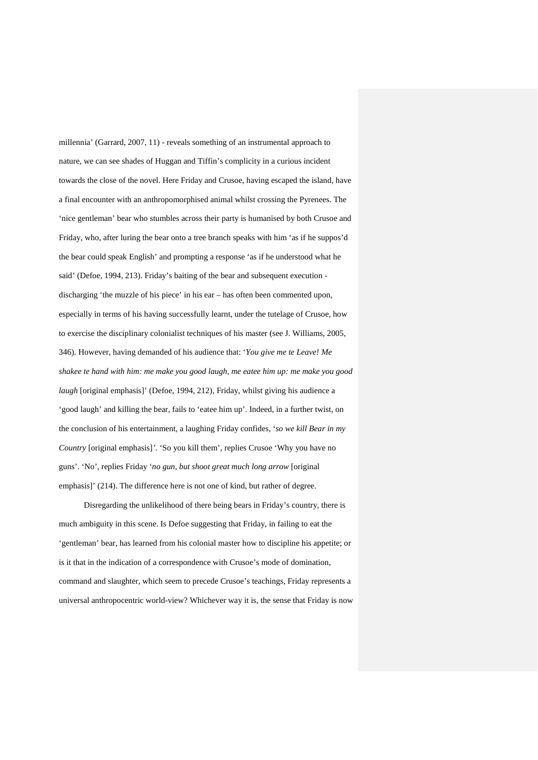millennia' (Garrard, 2007, 11) - reveals something of an instrumental approach to nature, we can see shades of Huggan and Tiffin's complicity in a curious incident towards the close of the novel. Here Friday and Crusoe, having escaped the island, have a final encounter with an anthropomorphised animal whilst crossing the Pyrenees. The 'nice gentleman' bear who stumbles across their party is humanised by both Crusoe and Friday, who, after luring the bear onto a tree branch speaks with him 'as if he suppos'd the bear could speak English' and prompting a response 'as if he understood what he said' (Defoe, 1994, 213). Friday's baiting of the bear and subsequent execution discharging 'the muzzle of his piece' in his ear – has often been commented upon, especially in terms of his having successfully learnt, under the tutelage of Crusoe, how to exercise the disciplinary colonialist techniques of his master (see J. Williams, 2005, 346). However, having demanded of his audience that: '*You give me te Leave! Me shakee te hand with him: me make you good laugh, me eatee him up: me make you good laugh* [original emphasis]' (Defoe, 1994, 212), Friday, whilst giving his audience a 'good laugh' and killing the bear, fails to 'eatee him up'. Indeed, in a further twist, on the conclusion of his entertainment, a laughing Friday confides, '*so we kill Bear in my Country* [original emphasis]*'.* 'So you kill them', replies Crusoe 'Why you have no guns'. 'No', replies Friday '*no gun, but shoot great much long arrow* [original emphasis]' (214). The difference here is not one of kind, but rather of degree.

Disregarding the unlikelihood of there being bears in Friday's country, there is much ambiguity in this scene. Is Defoe suggesting that Friday, in failing to eat the 'gentleman' bear, has learned from his colonial master how to discipline his appetite; or is it that in the indication of a correspondence with Crusoe's mode of domination, command and slaughter, which seem to precede Crusoe's teachings, Friday represents a universal anthropocentric world-view? Whichever way it is, the sense that Friday is now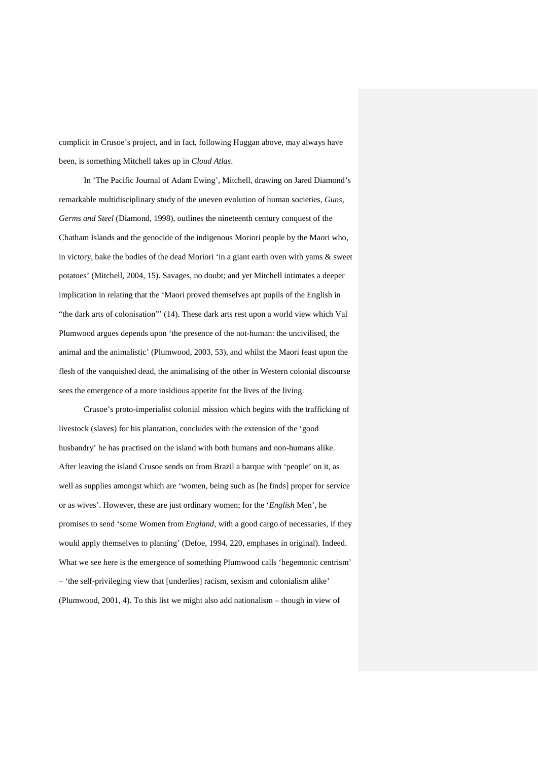complicit in Crusoe's project, and in fact, following Huggan above, may always have been, is something Mitchell takes up in *Cloud Atlas*.

In 'The Pacific Journal of Adam Ewing', Mitchell, drawing on Jared Diamond's remarkable multidisciplinary study of the uneven evolution of human societies, *Guns, Germs and Steel* (Diamond, 1998), outlines the nineteenth century conquest of the Chatham Islands and the genocide of the indigenous Moriori people by the Maori who, in victory, bake the bodies of the dead Moriori 'in a giant earth oven with yams & sweet potatoes' (Mitchell, 2004, 15). Savages, no doubt; and yet Mitchell intimates a deeper implication in relating that the 'Maori proved themselves apt pupils of the English in "the dark arts of colonisation"' (14). These dark arts rest upon a world view which Val Plumwood argues depends upon 'the presence of the not-human: the uncivilised, the animal and the animalistic' (Plumwood, 2003, 53), and whilst the Maori feast upon the flesh of the vanquished dead, the animalising of the other in Western colonial discourse sees the emergence of a more insidious appetite for the lives of the living.

Crusoe's proto-imperialist colonial mission which begins with the trafficking of livestock (slaves) for his plantation, concludes with the extension of the 'good husbandry' he has practised on the island with both humans and non-humans alike. After leaving the island Crusoe sends on from Brazil a barque with 'people' on it, as well as supplies amongst which are 'women, being such as [he finds] proper for service or as wives'. However, these are just ordinary women; for the '*English* Men', he promises to send 'some Women from *England*, with a good cargo of necessaries, if they would apply themselves to planting' (Defoe, 1994, 220, emphases in original). Indeed. What we see here is the emergence of something Plumwood calls 'hegemonic centrism' – 'the self-privileging view that [underlies] racism, sexism and colonialism alike' (Plumwood, 2001, 4). To this list we might also add nationalism – though in view of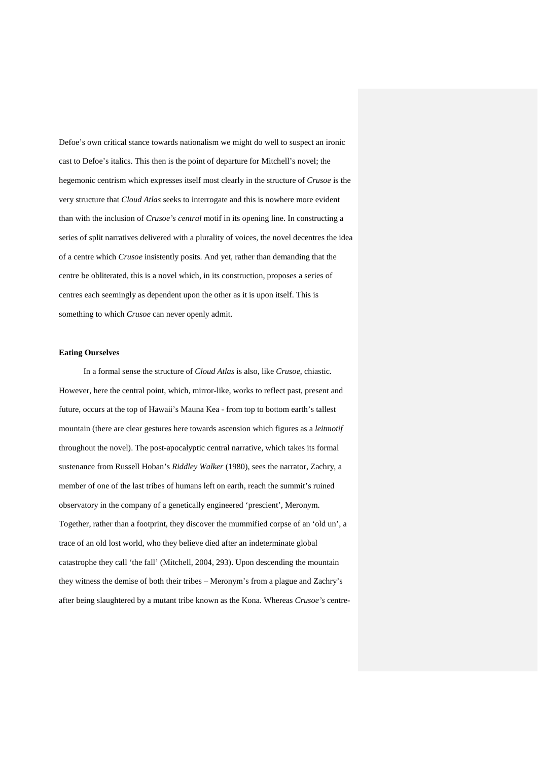Defoe's own critical stance towards nationalism we might do well to suspect an ironic cast to Defoe's italics. This then is the point of departure for Mitchell's novel; the hegemonic centrism which expresses itself most clearly in the structure of *Crusoe* is the very structure that *Cloud Atlas* seeks to interrogate and this is nowhere more evident than with the inclusion of *Crusoe's central* motif in its opening line. In constructing a series of split narratives delivered with a plurality of voices, the novel decentres the idea of a centre which *Crusoe* insistently posits. And yet, rather than demanding that the centre be obliterated, this is a novel which, in its construction, proposes a series of centres each seemingly as dependent upon the other as it is upon itself. This is something to which *Crusoe* can never openly admit.

#### **Eating Ourselves**

In a formal sense the structure of *Cloud Atlas* is also, like *Crusoe*, chiastic. However, here the central point, which, mirror-like, works to reflect past, present and future, occurs at the top of Hawaii's Mauna Kea - from top to bottom earth's tallest mountain (there are clear gestures here towards ascension which figures as a *leitmotif* throughout the novel). The post-apocalyptic central narrative, which takes its formal sustenance from Russell Hoban's *Riddley Walker* (1980), sees the narrator, Zachry, a member of one of the last tribes of humans left on earth, reach the summit's ruined observatory in the company of a genetically engineered 'prescient', Meronym. Together, rather than a footprint, they discover the mummified corpse of an 'old un', a trace of an old lost world, who they believe died after an indeterminate global catastrophe they call 'the fall' (Mitchell, 2004, 293). Upon descending the mountain they witness the demise of both their tribes – Meronym's from a plague and Zachry's after being slaughtered by a mutant tribe known as the Kona. Whereas *Crusoe's* centre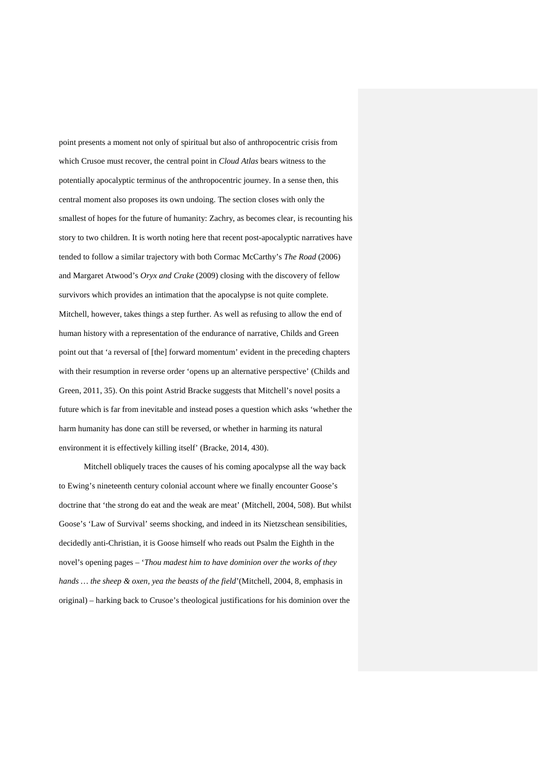point presents a moment not only of spiritual but also of anthropocentric crisis from which Crusoe must recover, the central point in *Cloud Atlas* bears witness to the potentially apocalyptic terminus of the anthropocentric journey. In a sense then, this central moment also proposes its own undoing. The section closes with only the smallest of hopes for the future of humanity: Zachry, as becomes clear, is recounting his story to two children. It is worth noting here that recent post-apocalyptic narratives have tended to follow a similar trajectory with both Cormac McCarthy's *The Road* (2006) and Margaret Atwood's *Oryx and Crake* (2009) closing with the discovery of fellow survivors which provides an intimation that the apocalypse is not quite complete. Mitchell, however, takes things a step further. As well as refusing to allow the end of human history with a representation of the endurance of narrative, Childs and Green point out that 'a reversal of [the] forward momentum' evident in the preceding chapters with their resumption in reverse order 'opens up an alternative perspective' (Childs and Green, 2011, 35). On this point Astrid Bracke suggests that Mitchell's novel posits a future which is far from inevitable and instead poses a question which asks 'whether the harm humanity has done can still be reversed, or whether in harming its natural environment it is effectively killing itself' (Bracke, 2014, 430).

Mitchell obliquely traces the causes of his coming apocalypse all the way back to Ewing's nineteenth century colonial account where we finally encounter Goose's doctrine that 'the strong do eat and the weak are meat' (Mitchell, 2004, 508). But whilst Goose's 'Law of Survival' seems shocking, and indeed in its Nietzschean sensibilities, decidedly anti-Christian, it is Goose himself who reads out Psalm the Eighth in the novel's opening pages – '*Thou madest him to have dominion over the works of they hands … the sheep & oxen, yea the beasts of the field*'(Mitchell, 2004, 8, emphasis in original) – harking back to Crusoe's theological justifications for his dominion over the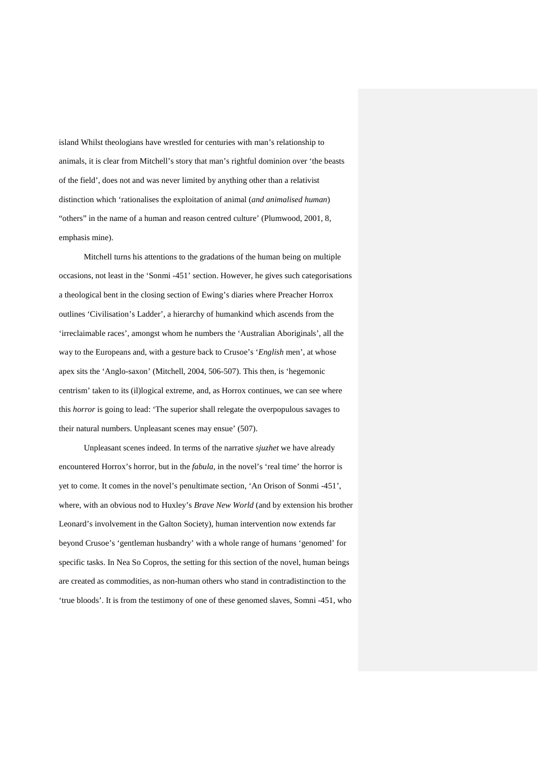island Whilst theologians have wrestled for centuries with man's relationship to animals, it is clear from Mitchell's story that man's rightful dominion over 'the beasts of the field', does not and was never limited by anything other than a relativist distinction which 'rationalises the exploitation of animal (*and animalised human*) "others" in the name of a human and reason centred culture' (Plumwood, 2001, 8, emphasis mine).

Mitchell turns his attentions to the gradations of the human being on multiple occasions, not least in the 'Sonmi -451' section. However, he gives such categorisations a theological bent in the closing section of Ewing's diaries where Preacher Horrox outlines 'Civilisation's Ladder', a hierarchy of humankind which ascends from the 'irreclaimable races', amongst whom he numbers the 'Australian Aboriginals', all the way to the Europeans and, with a gesture back to Crusoe's '*English* men', at whose apex sits the 'Anglo-saxon' (Mitchell, 2004, 506-507). This then, is 'hegemonic centrism' taken to its (il)logical extreme, and, as Horrox continues, we can see where this *horror* is going to lead: 'The superior shall relegate the overpopulous savages to their natural numbers. Unpleasant scenes may ensue' (507).

Unpleasant scenes indeed. In terms of the narrative *sjuzhet* we have already encountered Horrox's horror, but in the *fabula*, in the novel's 'real time' the horror is yet to come. It comes in the novel's penultimate section, 'An Orison of Sonmi -451', where, with an obvious nod to Huxley's *Brave New World* (and by extension his brother Leonard's involvement in the Galton Society), human intervention now extends far beyond Crusoe's 'gentleman husbandry' with a whole range of humans 'genomed' for specific tasks. In Nea So Copros, the setting for this section of the novel, human beings are created as commodities, as non-human others who stand in contradistinction to the 'true bloods'. It is from the testimony of one of these genomed slaves, Somni -451, who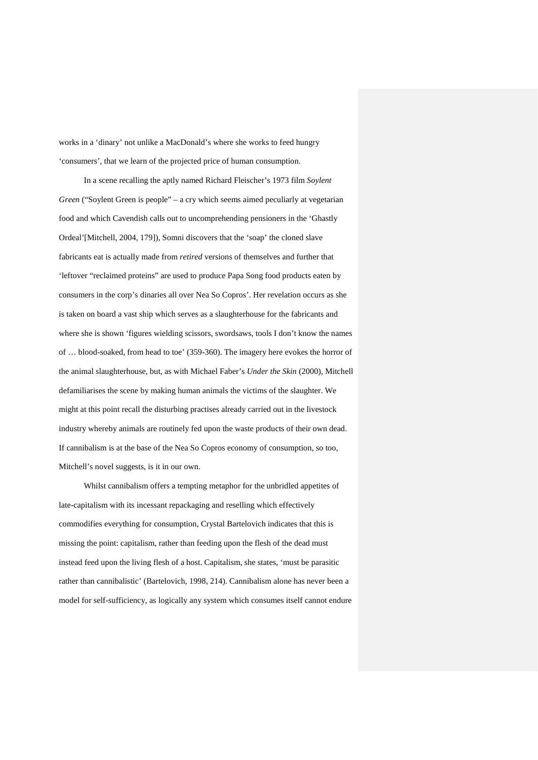works in a 'dinary' not unlike a MacDonald's where she works to feed hungry 'consumers', that we learn of the projected price of human consumption.

In a scene recalling the aptly named Richard Fleischer's 1973 film *Soylent Green* ("Soylent Green is people" – a cry which seems aimed peculiarly at vegetarian food and which Cavendish calls out to uncomprehending pensioners in the 'Ghastly Ordeal'[Mitchell, 2004, 179]), Somni discovers that the 'soap' the cloned slave fabricants eat is actually made from *retired* versions of themselves and further that 'leftover "reclaimed proteins" are used to produce Papa Song food products eaten by consumers in the corp's dinaries all over Nea So Copros'. Her revelation occurs as she is taken on board a vast ship which serves as a slaughterhouse for the fabricants and where she is shown 'figures wielding scissors, swordsaws, tools I don't know the names of … blood-soaked, from head to toe' (359-360). The imagery here evokes the horror of the animal slaughterhouse, but, as with Michael Faber's *Under the Skin* (2000), Mitchell defamiliarises the scene by making human animals the victims of the slaughter. We might at this point recall the disturbing practises already carried out in the livestock industry whereby animals are routinely fed upon the waste products of their own dead. If cannibalism is at the base of the Nea So Copros economy of consumption, so too, Mitchell's novel suggests, is it in our own.

Whilst cannibalism offers a tempting metaphor for the unbridled appetites of late-capitalism with its incessant repackaging and reselling which effectively commodifies everything for consumption, Crystal Bartelovich indicates that this is missing the point: capitalism, rather than feeding upon the flesh of the dead must instead feed upon the living flesh of a host. Capitalism, she states, 'must be parasitic rather than cannibalistic' (Bartelovich, 1998, 214). Cannibalism alone has never been a model for self-sufficiency, as logically any system which consumes itself cannot endure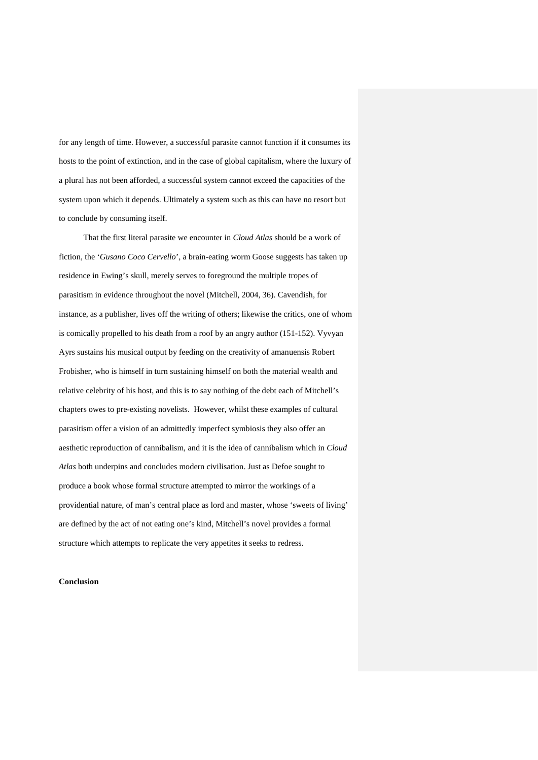for any length of time. However, a successful parasite cannot function if it consumes its hosts to the point of extinction, and in the case of global capitalism, where the luxury of a plural has not been afforded, a successful system cannot exceed the capacities of the system upon which it depends. Ultimately a system such as this can have no resort but to conclude by consuming itself.

That the first literal parasite we encounter in *Cloud Atlas* should be a work of fiction, the '*Gusano Coco Cervello*', a brain-eating worm Goose suggests has taken up residence in Ewing's skull, merely serves to foreground the multiple tropes of parasitism in evidence throughout the novel (Mitchell, 2004, 36). Cavendish, for instance, as a publisher, lives off the writing of others; likewise the critics, one of whom is comically propelled to his death from a roof by an angry author (151-152). Vyvyan Ayrs sustains his musical output by feeding on the creativity of amanuensis Robert Frobisher, who is himself in turn sustaining himself on both the material wealth and relative celebrity of his host, and this is to say nothing of the debt each of Mitchell's chapters owes to pre-existing novelists. However, whilst these examples of cultural parasitism offer a vision of an admittedly imperfect symbiosis they also offer an aesthetic reproduction of cannibalism, and it is the idea of cannibalism which in *Cloud Atlas* both underpins and concludes modern civilisation. Just as Defoe sought to produce a book whose formal structure attempted to mirror the workings of a providential nature, of man's central place as lord and master, whose 'sweets of living' are defined by the act of not eating one's kind, Mitchell's novel provides a formal structure which attempts to replicate the very appetites it seeks to redress.

#### **Conclusion**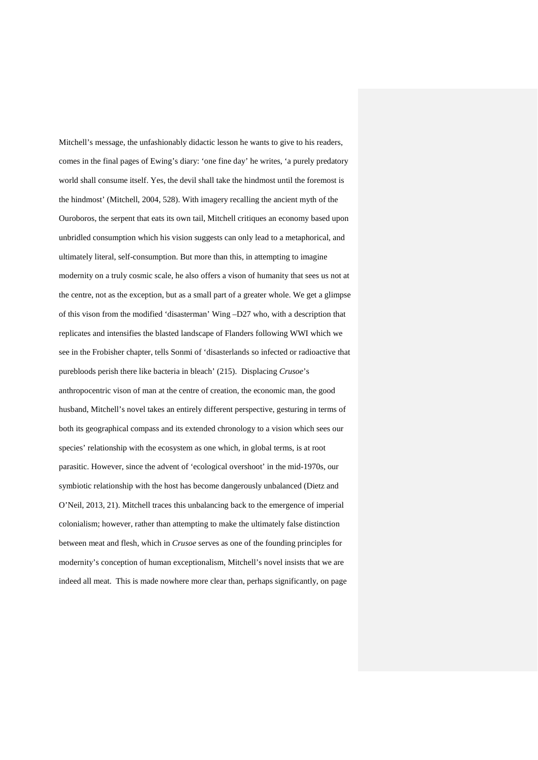Mitchell's message, the unfashionably didactic lesson he wants to give to his readers, comes in the final pages of Ewing's diary: 'one fine day' he writes, 'a purely predatory world shall consume itself. Yes, the devil shall take the hindmost until the foremost is the hindmost' (Mitchell, 2004, 528). With imagery recalling the ancient myth of the Ouroboros, the serpent that eats its own tail, Mitchell critiques an economy based upon unbridled consumption which his vision suggests can only lead to a metaphorical, and ultimately literal, self-consumption. But more than this, in attempting to imagine modernity on a truly cosmic scale, he also offers a vison of humanity that sees us not at the centre, not as the exception, but as a small part of a greater whole. We get a glimpse of this vison from the modified 'disasterman' Wing –D27 who, with a description that replicates and intensifies the blasted landscape of Flanders following WWI which we see in the Frobisher chapter, tells Sonmi of 'disasterlands so infected or radioactive that purebloods perish there like bacteria in bleach' (215). Displacing *Crusoe*'s anthropocentric vison of man at the centre of creation, the economic man, the good husband, Mitchell's novel takes an entirely different perspective, gesturing in terms of both its geographical compass and its extended chronology to a vision which sees our species' relationship with the ecosystem as one which, in global terms, is at root parasitic. However, since the advent of 'ecological overshoot' in the mid-1970s, our symbiotic relationship with the host has become dangerously unbalanced (Dietz and O'Neil, 2013, 21). Mitchell traces this unbalancing back to the emergence of imperial colonialism; however, rather than attempting to make the ultimately false distinction between meat and flesh, which in *Crusoe* serves as one of the founding principles for modernity's conception of human exceptionalism, Mitchell's novel insists that we are indeed all meat. This is made nowhere more clear than, perhaps significantly, on page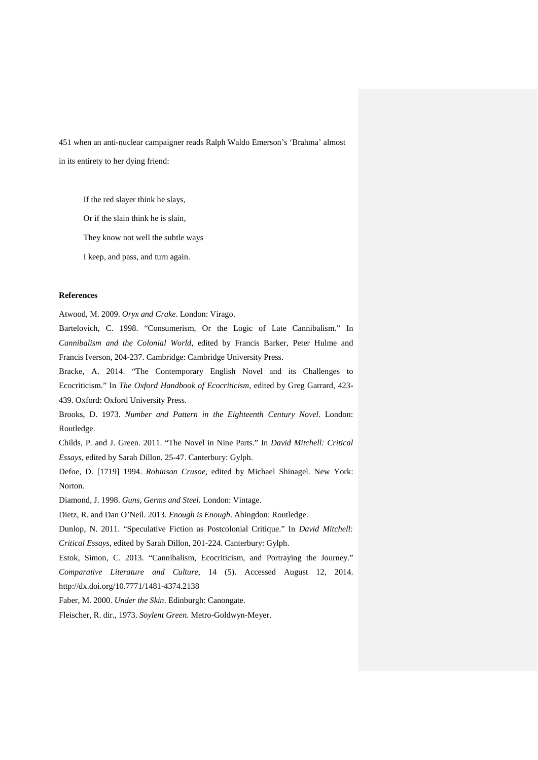451 when an anti-nuclear campaigner reads Ralph Waldo Emerson's 'Brahma' almost in its entirety to her dying friend:

If the red slayer think he slays,

Or if the slain think he is slain,

They know not well the subtle ways

I keep, and pass, and turn again.

### **References**

Atwood, M. 2009. *Oryx and Crake*. London: Virago.

Bartelovich, C. 1998. "Consumerism, Or the Logic of Late Cannibalism." In *Cannibalism and the Colonial World*, edited by Francis Barker, Peter Hulme and Francis Iverson, 204-237. Cambridge: Cambridge University Press.

Bracke, A. 2014. "The Contemporary English Novel and its Challenges to Ecocriticism." In *The Oxford Handbook of Ecocriticism*, edited by Greg Garrard, 423- 439. Oxford: Oxford University Press.

Brooks, D. 1973. *Number and Pattern in the Eighteenth Century Novel*. London: Routledge.

Childs, P. and J. Green. 2011. "The Novel in Nine Parts." In *David Mitchell: Critical Essays*, edited by Sarah Dillon, 25-47. Canterbury: Gylph.

Defoe, D. [1719] 1994. *Robinson Crusoe*, edited by Michael Shinagel. New York: Norton.

Diamond, J. 1998. *Guns, Germs and Steel.* London: Vintage.

Dietz, R. and Dan O'Neil. 2013. *Enough is Enough*. Abingdon: Routledge.

Dunlop, N. 2011. "Speculative Fiction as Postcolonial Critique." In *David Mitchell: Critical Essays*, edited by Sarah Dillon, 201-224. Canterbury: Gylph.

Estok, Simon, C. 2013. "Cannibalism, Ecocriticism, and Portraying the Journey." *Comparative Literature and Culture*, 14 (5). Accessed August 12, 2014. http://dx.doi.org/10.7771/1481-4374.2138

Faber, M. 2000. *Under the Skin*. Edinburgh: Canongate.

Fleischer, R. dir., 1973. *Soylent Green*. Metro-Goldwyn-Meyer.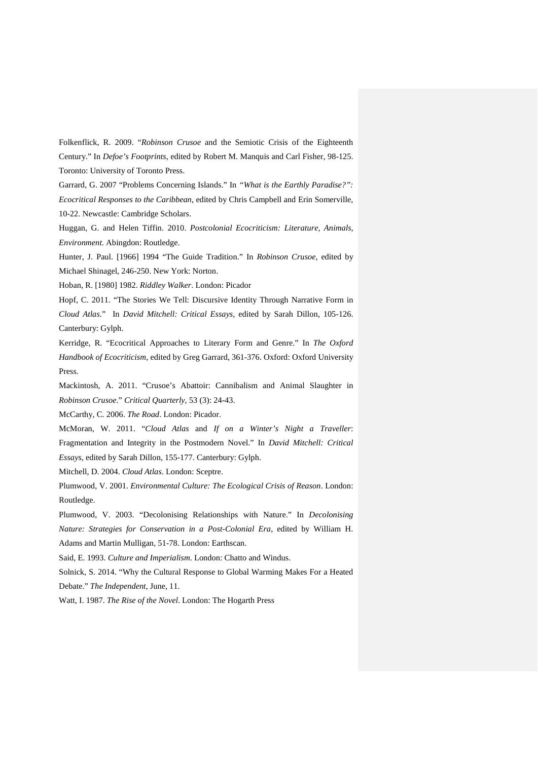Folkenflick, R. 2009. "*Robinson Crusoe* and the Semiotic Crisis of the Eighteenth Century." In *Defoe's Footprints*, edited by Robert M. Manquis and Carl Fisher, 98-125. Toronto: University of Toronto Press.

Garrard, G. 2007 "Problems Concerning Islands." In *"What is the Earthly Paradise?": Ecocritical Responses to the Caribbean*, edited by Chris Campbell and Erin Somerville, 10-22. Newcastle: Cambridge Scholars.

Huggan, G. and Helen Tiffin. 2010. *Postcolonial Ecocriticism: Literature, Animals, Environment*. Abingdon: Routledge.

Hunter, J. Paul. [1966] 1994 "The Guide Tradition." In *Robinson Crusoe*, edited by Michael Shinagel, 246-250. New York: Norton.

Hoban, R. [1980] 1982. *Riddley Walker*. London: Picador

Hopf, C. 2011. "The Stories We Tell: Discursive Identity Through Narrative Form in *Cloud Atlas*." In *David Mitchell: Critical Essays*, edited by Sarah Dillon, 105-126. Canterbury: Gylph.

Kerridge, R. "Ecocritical Approaches to Literary Form and Genre." In *The Oxford Handbook of Ecocriticism*, edited by Greg Garrard, 361-376. Oxford: Oxford University Press.

Mackintosh, A. 2011. "Crusoe's Abattoir: Cannibalism and Animal Slaughter in *Robinson Crusoe*." *Critical Quarterly,* 53 (3): 24-43.

McCarthy, C. 2006. *The Road*. London: Picador.

McMoran, W. 2011. "*Cloud Atlas* and *If on a Winter's Night a Traveller*: Fragmentation and Integrity in the Postmodern Novel." In *David Mitchell: Critical Essays*, edited by Sarah Dillon, 155-177. Canterbury: Gylph.

Mitchell, D. 2004. *Cloud Atlas*. London: Sceptre.

Plumwood, V. 2001. *Environmental Culture: The Ecological Crisis of Reason*. London: Routledge.

Plumwood, V. 2003. "Decolonising Relationships with Nature." In *Decolonising Nature: Strategies for Conservation in a Post-Colonial Era*, edited by William H. Adams and Martin Mulligan, 51-78. London: Earthscan.

Said, E. 1993. *Culture and Imperialism*. London: Chatto and Windus.

Solnick, S. 2014. "Why the Cultural Response to Global Warming Makes For a Heated Debate." *The Independent*, June, 11.

Watt, I. 1987. *The Rise of the Novel*. London: The Hogarth Press